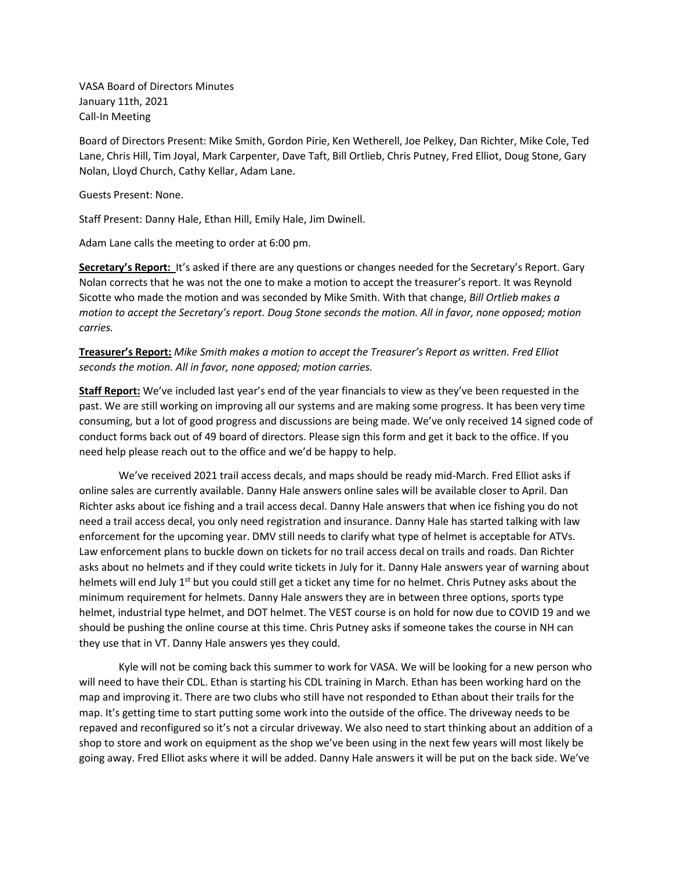VASA Board of Directors Minutes January 11th, 2021 Call-In Meeting

Board of Directors Present: Mike Smith, Gordon Pirie, Ken Wetherell, Joe Pelkey, Dan Richter, Mike Cole, Ted Lane, Chris Hill, Tim Joyal, Mark Carpenter, Dave Taft, Bill Ortlieb, Chris Putney, Fred Elliot, Doug Stone, Gary Nolan, Lloyd Church, Cathy Kellar, Adam Lane.

Guests Present: None.

Staff Present: Danny Hale, Ethan Hill, Emily Hale, Jim Dwinell.

Adam Lane calls the meeting to order at 6:00 pm.

**Secretary's Report:** It's asked if there are any questions or changes needed for the Secretary's Report. Gary Nolan corrects that he was not the one to make a motion to accept the treasurer's report. It was Reynold Sicotte who made the motion and was seconded by Mike Smith. With that change, *Bill Ortlieb makes a motion to accept the Secretary's report. Doug Stone seconds the motion. All in favor, none opposed; motion carries.* 

**Treasurer's Report:** *Mike Smith makes a motion to accept the Treasurer's Report as written. Fred Elliot seconds the motion. All in favor, none opposed; motion carries.*

**Staff Report:** We've included last year's end of the year financials to view as they've been requested in the past. We are still working on improving all our systems and are making some progress. It has been very time consuming, but a lot of good progress and discussions are being made. We've only received 14 signed code of conduct forms back out of 49 board of directors. Please sign this form and get it back to the office. If you need help please reach out to the office and we'd be happy to help.

We've received 2021 trail access decals, and maps should be ready mid-March. Fred Elliot asks if online sales are currently available. Danny Hale answers online sales will be available closer to April. Dan Richter asks about ice fishing and a trail access decal. Danny Hale answers that when ice fishing you do not need a trail access decal, you only need registration and insurance. Danny Hale has started talking with law enforcement for the upcoming year. DMV still needs to clarify what type of helmet is acceptable for ATVs. Law enforcement plans to buckle down on tickets for no trail access decal on trails and roads. Dan Richter asks about no helmets and if they could write tickets in July for it. Danny Hale answers year of warning about helmets will end July 1<sup>st</sup> but you could still get a ticket any time for no helmet. Chris Putney asks about the minimum requirement for helmets. Danny Hale answers they are in between three options, sports type helmet, industrial type helmet, and DOT helmet. The VEST course is on hold for now due to COVID 19 and we should be pushing the online course at this time. Chris Putney asks if someone takes the course in NH can they use that in VT. Danny Hale answers yes they could.

Kyle will not be coming back this summer to work for VASA. We will be looking for a new person who will need to have their CDL. Ethan is starting his CDL training in March. Ethan has been working hard on the map and improving it. There are two clubs who still have not responded to Ethan about their trails for the map. It's getting time to start putting some work into the outside of the office. The driveway needs to be repaved and reconfigured so it's not a circular driveway. We also need to start thinking about an addition of a shop to store and work on equipment as the shop we've been using in the next few years will most likely be going away. Fred Elliot asks where it will be added. Danny Hale answers it will be put on the back side. We've